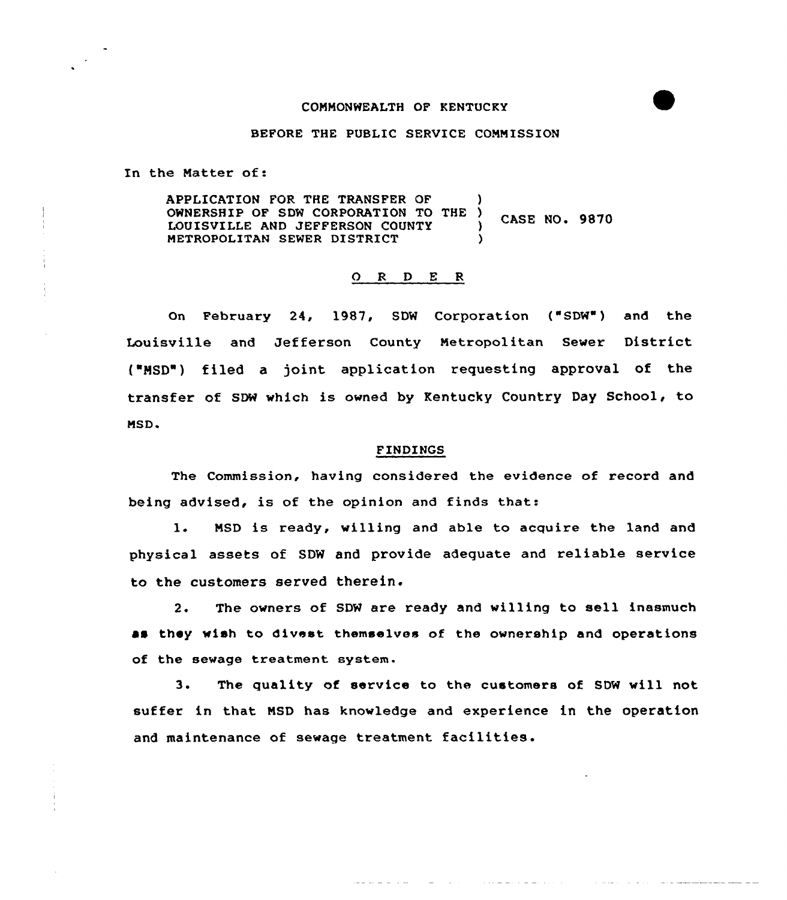## COMMONWEALTH OF KENTUCKY

## BEFORE THE PUBLIC SERVICE COMMISSION

In the Matter of:

APPLICATION FOR THE TRANSFER QF ) OWNERSHIP OF SDW CORPORATION TO THE ) CASE NO. 9870<br>LOUISVILLE AND JEFFERSON COUNTY ) METROPOLITAN SEWER DISTRICT )

## 0 <sup>R</sup> <sup>D</sup> <sup>E</sup> <sup>R</sup>

On February 24, 1987, SDW Corporation { SDW ) and the Louisville and Jefferson County Metropolitan Sewer District {"HSD") filed a joint application requesting approval of the transfer of SDW which is owned by Kentucky Country Day School, to MSD.

## FINDINGS

The Commission, having considered the evidence of record and being advised, is of the opinion and finds that:

1. MSD is ready, willing and able to acquire the land and physical assets of SDW and provide adequate and reliable service to the customers served therein.

2. The owners of SDW are ready and willing to sell inasmuch as they wish to divest themselves of the ownership and operations of the sewage treatment system.

3. The quality of service to the customers of SDW will not suffer in that MSD has knowledge and experience in the operation and maintenance of sewage treatment facilities.